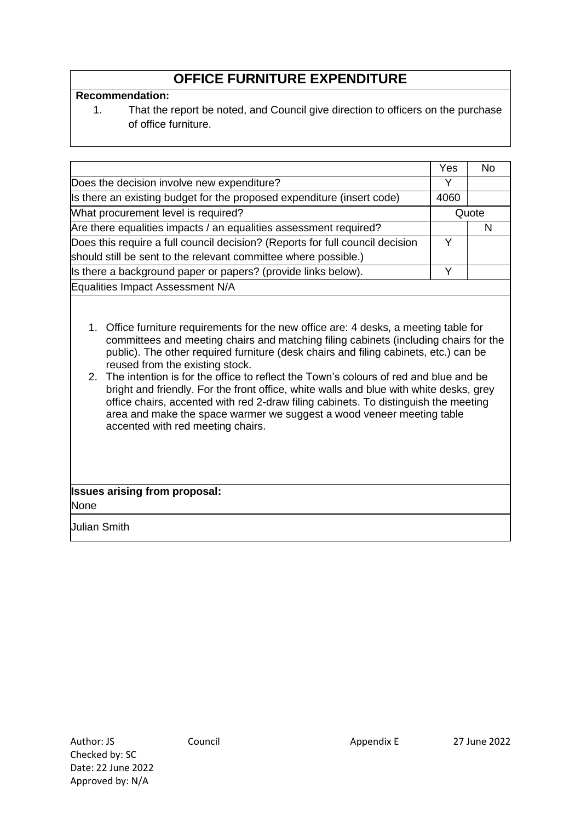# **OFFICE FURNITURE EXPENDITURE**

#### **Recommendation:**

1. That the report be noted, and Council give direction to officers on the purchase of office furniture.

|                                                                               | Yes          | No. |
|-------------------------------------------------------------------------------|--------------|-----|
| Does the decision involve new expenditure?                                    | $\checkmark$ |     |
| Is there an existing budget for the proposed expenditure (insert code)        | 4060         |     |
| What procurement level is required?                                           | Quote        |     |
| Are there equalities impacts / an equalities assessment required?             |              |     |
| Does this require a full council decision? (Reports for full council decision | v            |     |
| should still be sent to the relevant committee where possible.)               |              |     |
| Is there a background paper or papers? (provide links below).                 | v            |     |
| Equalities Impact Assessment N/A                                              |              |     |

- 1. Office furniture requirements for the new office are: 4 desks, a meeting table for committees and meeting chairs and matching filing cabinets (including chairs for the public). The other required furniture (desk chairs and filing cabinets, etc.) can be reused from the existing stock.
- 2. The intention is for the office to reflect the Town's colours of red and blue and be bright and friendly. For the front office, white walls and blue with white desks, grey office chairs, accented with red 2-draw filing cabinets. To distinguish the meeting area and make the space warmer we suggest a wood veneer meeting table accented with red meeting chairs.

# **Issues arising from proposal:**

None

Julian Smith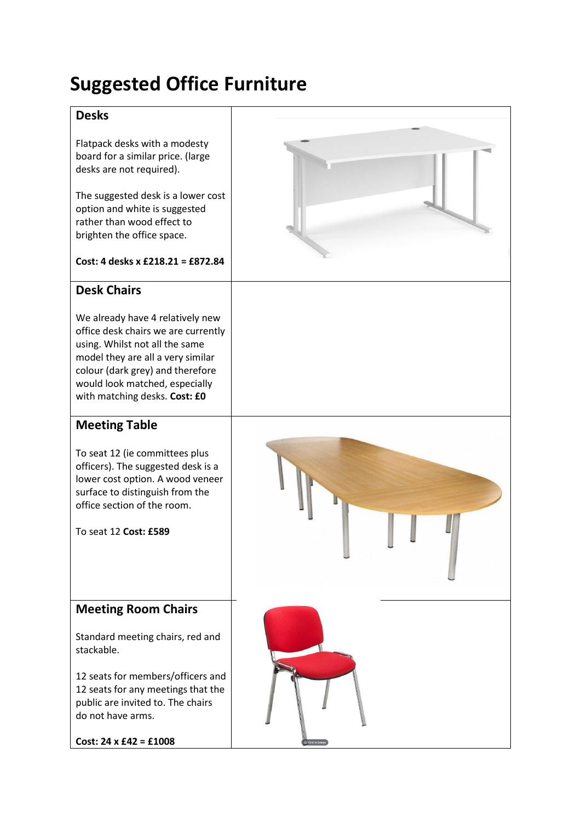# **Suggested Office Furniture**

## **Desks**

Flatpack desks with a modesty board for a similar price. (large desks are not required).

The suggested desk is a lower cost option and white is suggested rather than wood effect to brighten the office space.

#### **Cost: 4 desks x £218.21 = £872.84**

## **Desk Chairs**

We already have 4 relatively new office desk chairs we are currently using. Whilst not all the same model they are all a very similar colour (dark grey) and therefore would look matched, especially with matching desks. **Cost: £0**

## **Meeting Table**

To seat 12 (ie committees plus officers). The suggested desk is a lower cost option. A wood veneer surface to distinguish from the office section of the room.

To seat 12 **Cost: £589**



## **Meeting Room Chairs**

Standard meeting chairs, red and stackable.

12 seats for members/officers and 12 seats for any meetings that the public are invited to. The chairs do not have arms.

**Cost: 24 x £42 = £1008**